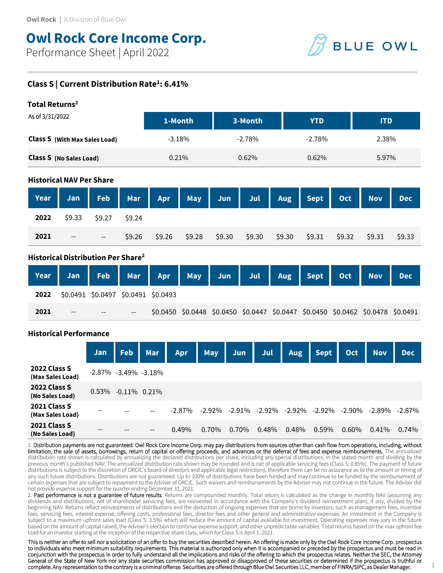# **Owl Rock Core Income Corp.**

Performance Sheet | April 2022

## **Class S | Current Distribution Rate<sup>1</sup> : 6.41%**

## **Total Returns<sup>2</sup>**

| As of 3/31/2022                      | 1-Month   | 3-Month  | <b>YTD</b> | <b>ITD</b> |
|--------------------------------------|-----------|----------|------------|------------|
| <b>Class S</b> (With Max Sales Load) | $-3.18\%$ | $-2.78%$ | $-2.78\%$  | 2.38%      |
| <b>Class S</b> (No Sales Load)       | $0.21\%$  | 0.62%    | 0.62%      | 5.97%      |

### **Historical NAV Per Share**

|      | Year   Jan   Feb   Mar   Apr   May   Jun   Jul   Aug   Sept   Oct   Nov   Dec |  |  |  |                                                                                 |  |  |
|------|-------------------------------------------------------------------------------|--|--|--|---------------------------------------------------------------------------------|--|--|
|      | <b>2022</b> \$9.33 \$9.27 \$9.24                                              |  |  |  |                                                                                 |  |  |
| 2021 | the company of the company                                                    |  |  |  | $$9.26$ $$9.26$ $$9.28$ $$9.30$ $$9.30$ $$9.30$ $$9.31$ $$9.32$ $$9.31$ $$9.33$ |  |  |

## **Historical Distribution Per Share<sup>2</sup>**

|      | Vear Jan Feb Mar Apr May Jun Jul Aug Sept Oct Nov Dec |  |  |  |                                                                                  |  |  |
|------|-------------------------------------------------------|--|--|--|----------------------------------------------------------------------------------|--|--|
|      | 2022 \$0.0491 \$0.0497 \$0.0491 \$0.0493              |  |  |  |                                                                                  |  |  |
| 2021 | $\hspace{0.05cm}$ – $\hspace{0.05cm}$                 |  |  |  | \$0.0450 \$0.0448 \$0.0450 \$0.0447 \$0.0447 \$0.0450 \$0.0462 \$0.0478 \$0.0491 |  |  |

## **Historical Performance**

|                                         | Jan      | <b>Feb</b>                | Mar                      | Apr       |           | May Jun   | Jul 1     | Aug       | Sept      | Oct      | <b>Nov</b> | <b>Dec</b> |
|-----------------------------------------|----------|---------------------------|--------------------------|-----------|-----------|-----------|-----------|-----------|-----------|----------|------------|------------|
| 2022 Class S<br>(Max Sales Load)        |          | $-2.87\% -3.49\% -3.18\%$ |                          |           |           |           |           |           |           |          |            |            |
| <b>2022 Class S</b><br>(No Sales Load)  | $0.53\%$ | $-0.11\%$ 0.21%           |                          |           |           |           |           |           |           |          |            |            |
| <b>2021 Class S</b><br>(Max Sales Load) | $- -$    | $- -$                     | $- -$                    | $-2.87\%$ | $-2.92\%$ | $-2.91\%$ | $-2.92\%$ | $-2.92\%$ | $-2.92\%$ | -2.90%   | $-2.89\%$  | $-2.87\%$  |
| <b>2021 Class S</b><br>(No Sales Load)  | --       | $- -$                     | $\overline{\phantom{m}}$ | 0.49%     | $0.70\%$  | $0.70\%$  | $0.48\%$  | 0.48%     | $0.59\%$  | $0.60\%$ | $0.41\%$   | $0.74\%$   |

1. Distribution payments are not guaranteed. Owl Rock Core Income Corp. may pay distributions from sources other than cash flow from operations, including, without limitation, the sale of assets, borrowings, return of capital or offering proceeds, and advances or the deferral of fees and expense reimbursements. The annualized distribution rate shown is calculated by annualizing the declared distributions per share, including any special distributions, in the stated month and dividing by the previous month's published NAV. The annualized distribution rate shown may be rounded and is net of applicable servicing fees (Class S: 0.85%). The payment of future distributions is subject to the discretion of ORCIC's board of directors and applicable legal restrictions, therefore there can be no assurance as to the amount or timing of any such future distributions. Distributions are not guaranteed. Up to 100% of distributions have been funded and may continue to be funded by the reimbursement of certain expenses that are subject to repayment to the Adviser of ORCIC. Such waivers and reimbursements by the Adviser may not continue in the future. The Adviser did not provide expense support for the quarter ending December 31, 2021.

2. Past performance is not a guarantee of future results. Returns are compounded monthly. Total return is calculated as the change in monthly NAV (assuming any dividends and distributions, net of shareholder servicing fees, are reinvested in accordance with the Company's dividend reinvestment plan), if any, divided by the beginning NAV. Returns reflect reinvestments of distributions and the deduction of ongoing expenses that are borne by investors, such as management fees, incentive fees, servicing fees, interest expense, offering costs, professional fees, director fees and other general and administrative expenses. An investment in the Company is subject to a maximum upfront sales load (Class S: 3.5%) which will reduce the amount of capital available for investment. Operating expenses may vary in the future based on the amount of capital raised, the Adviser's election to continue expense support, and other unpredictable variables. Total returns based on the max upfront fee load for an investor starting at the inception of the respective share class, which for Class S is April 1, 2021.

This is neither an offer to sell nor a solicitation of an offer to buy the securities described herein. An offering is made only by the Owl Rock Core Income Corp. prospectus to individuals who meet minimum suitability requirements. This material is authorized only when it is accompanied or preceded by the prospectus and must be read in conjunction with the prospectus in order to fully understand all the implications and risks of the offering to which the prospectus relates. Neither the SEC, the Attorney General of the State of New York nor any state securities commission has approved or disapproved of these securities or determined if the prospectus is truthful or complete. Any representation to the contrary is a criminal offense. Securities are offered through BlueOwl Securities LLC, member of FINRA/SIPC, as Dealer Manager.

**BLUE OWL**